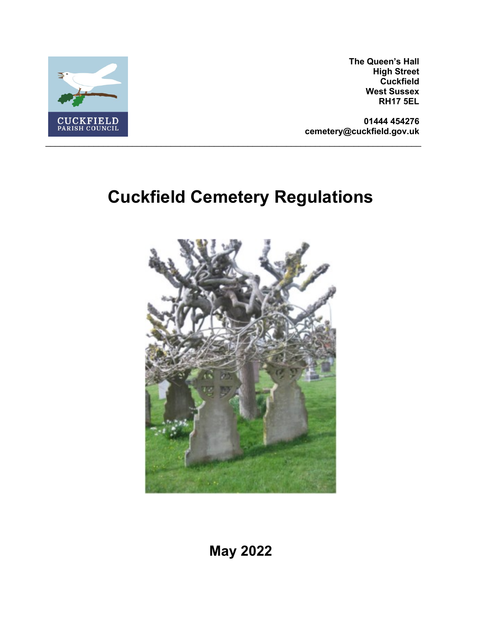

**The Queen's Hall High Street Cuckfield West Sussex RH17 5EL**

**01444 454276 cemetery@cuckfield.gov.uk**

# **Cuckfield Cemetery Regulations**



**May 2022**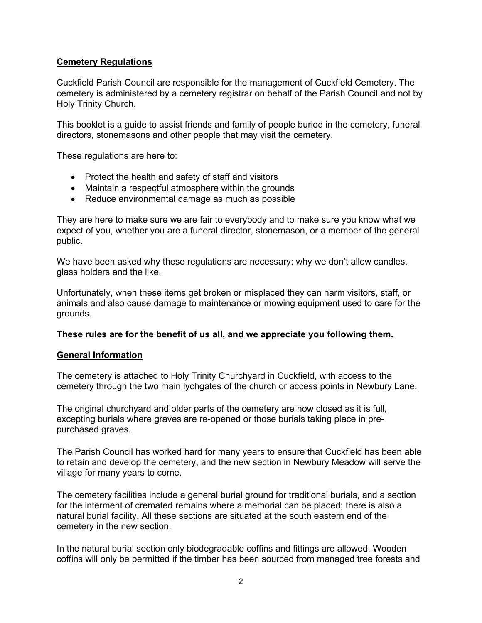# **Cemetery Regulations**

Cuckfield Parish Council are responsible for the management of Cuckfield Cemetery. The cemetery is administered by a cemetery registrar on behalf of the Parish Council and not by Holy Trinity Church.

This booklet is a guide to assist friends and family of people buried in the cemetery, funeral directors, stonemasons and other people that may visit the cemetery.

These regulations are here to:

- Protect the health and safety of staff and visitors
- Maintain a respectful atmosphere within the grounds
- Reduce environmental damage as much as possible

They are here to make sure we are fair to everybody and to make sure you know what we expect of you, whether you are a funeral director, stonemason, or a member of the general public.

We have been asked why these regulations are necessary; why we don't allow candles, glass holders and the like.

Unfortunately, when these items get broken or misplaced they can harm visitors, staff, or animals and also cause damage to maintenance or mowing equipment used to care for the grounds.

# **These rules are for the benefit of us all, and we appreciate you following them.**

#### **General Information**

The cemetery is attached to Holy Trinity Churchyard in Cuckfield, with access to the cemetery through the two main lychgates of the church or access points in Newbury Lane.

The original churchyard and older parts of the cemetery are now closed as it is full, excepting burials where graves are re-opened or those burials taking place in prepurchased graves.

The Parish Council has worked hard for many years to ensure that Cuckfield has been able to retain and develop the cemetery, and the new section in Newbury Meadow will serve the village for many years to come.

The cemetery facilities include a general burial ground for traditional burials, and a section for the interment of cremated remains where a memorial can be placed; there is also a natural burial facility. All these sections are situated at the south eastern end of the cemetery in the new section.

In the natural burial section only biodegradable coffins and fittings are allowed. Wooden coffins will only be permitted if the timber has been sourced from managed tree forests and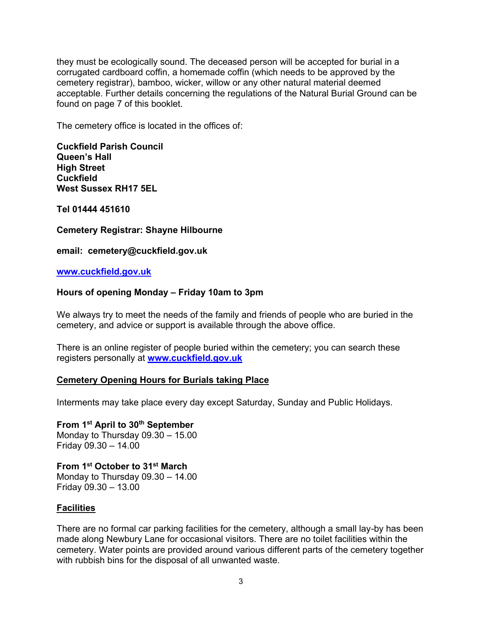they must be ecologically sound. The deceased person will be accepted for burial in a corrugated cardboard coffin, a homemade coffin (which needs to be approved by the cemetery registrar), bamboo, wicker, willow or any other natural material deemed acceptable. Further details concerning the regulations of the Natural Burial Ground can be found on page 7 of this booklet.

The cemetery office is located in the offices of:

**Cuckfield Parish Council Queen's Hall High Street Cuckfield West Sussex RH17 5EL**

**Tel 01444 451610**

**Cemetery Registrar: Shayne Hilbourne**

**email: cemetery@cuckfield.gov.uk**

**www.cuckfield.gov.uk**

#### **Hours of opening Monday – Friday 10am to 3pm**

We always try to meet the needs of the family and friends of people who are buried in the cemetery, and advice or support is available through the above office.

There is an online register of people buried within the cemetery; you can search these registers personally at **www.cuckfield.gov.uk**

#### **Cemetery Opening Hours for Burials taking Place**

Interments may take place every day except Saturday, Sunday and Public Holidays.

**From 1st April to 30th September**  Monday to Thursday 09.30 – 15.00 Friday 09.30 – 14.00

**From 1st October to 31st March** Monday to Thursday 09.30 – 14.00 Friday 09.30 – 13.00

#### **Facilities**

There are no formal car parking facilities for the cemetery, although a small lay-by has been made along Newbury Lane for occasional visitors. There are no toilet facilities within the cemetery. Water points are provided around various different parts of the cemetery together with rubbish bins for the disposal of all unwanted waste.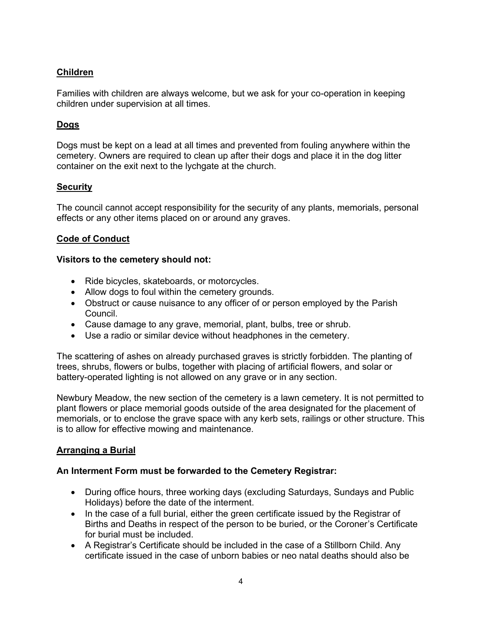# **Children**

Families with children are always welcome, but we ask for your co-operation in keeping children under supervision at all times.

# **Dogs**

Dogs must be kept on a lead at all times and prevented from fouling anywhere within the cemetery. Owners are required to clean up after their dogs and place it in the dog litter container on the exit next to the lychgate at the church.

## **Security**

The council cannot accept responsibility for the security of any plants, memorials, personal effects or any other items placed on or around any graves.

## **Code of Conduct**

## **Visitors to the cemetery should not:**

- Ride bicycles, skateboards, or motorcycles.
- Allow dogs to foul within the cemetery grounds.
- Obstruct or cause nuisance to any officer of or person employed by the Parish Council.
- Cause damage to any grave, memorial, plant, bulbs, tree or shrub.
- Use a radio or similar device without headphones in the cemetery.

The scattering of ashes on already purchased graves is strictly forbidden. The planting of trees, shrubs, flowers or bulbs, together with placing of artificial flowers, and solar or battery-operated lighting is not allowed on any grave or in any section.

Newbury Meadow, the new section of the cemetery is a lawn cemetery. It is not permitted to plant flowers or place memorial goods outside of the area designated for the placement of memorials, or to enclose the grave space with any kerb sets, railings or other structure. This is to allow for effective mowing and maintenance.

# **Arranging a Burial**

#### **An Interment Form must be forwarded to the Cemetery Registrar:**

- During office hours, three working days (excluding Saturdays, Sundays and Public Holidays) before the date of the interment.
- In the case of a full burial, either the green certificate issued by the Registrar of Births and Deaths in respect of the person to be buried, or the Coroner's Certificate for burial must be included.
- A Registrar's Certificate should be included in the case of a Stillborn Child. Any certificate issued in the case of unborn babies or neo natal deaths should also be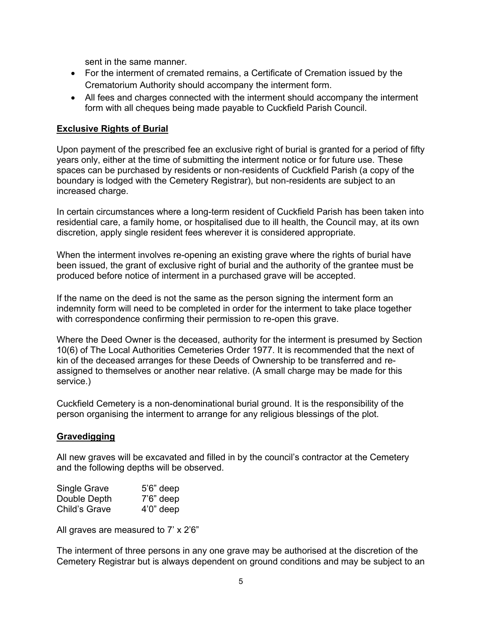sent in the same manner.

- For the interment of cremated remains, a Certificate of Cremation issued by the Crematorium Authority should accompany the interment form.
- All fees and charges connected with the interment should accompany the interment form with all cheques being made payable to Cuckfield Parish Council.

## **Exclusive Rights of Burial**

Upon payment of the prescribed fee an exclusive right of burial is granted for a period of fifty years only, either at the time of submitting the interment notice or for future use. These spaces can be purchased by residents or non-residents of Cuckfield Parish (a copy of the boundary is lodged with the Cemetery Registrar), but non-residents are subject to an increased charge.

In certain circumstances where a long-term resident of Cuckfield Parish has been taken into residential care, a family home, or hospitalised due to ill health, the Council may, at its own discretion, apply single resident fees wherever it is considered appropriate.

When the interment involves re-opening an existing grave where the rights of burial have been issued, the grant of exclusive right of burial and the authority of the grantee must be produced before notice of interment in a purchased grave will be accepted.

If the name on the deed is not the same as the person signing the interment form an indemnity form will need to be completed in order for the interment to take place together with correspondence confirming their permission to re-open this grave.

Where the Deed Owner is the deceased, authority for the interment is presumed by Section 10(6) of The Local Authorities Cemeteries Order 1977. It is recommended that the next of kin of the deceased arranges for these Deeds of Ownership to be transferred and reassigned to themselves or another near relative. (A small charge may be made for this service.)

Cuckfield Cemetery is a non-denominational burial ground. It is the responsibility of the person organising the interment to arrange for any religious blessings of the plot.

#### **Gravedigging**

All new graves will be excavated and filled in by the council's contractor at the Cemetery and the following depths will be observed.

| <b>Single Grave</b> | $5'6''$ deep |
|---------------------|--------------|
| Double Depth        | $7'6''$ deep |
| Child's Grave       | $4'0''$ deep |

All graves are measured to 7' x 2'6"

The interment of three persons in any one grave may be authorised at the discretion of the Cemetery Registrar but is always dependent on ground conditions and may be subject to an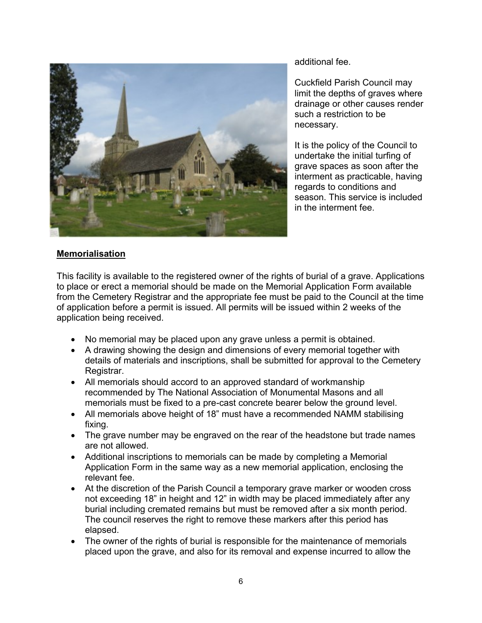

additional fee.

Cuckfield Parish Council may limit the depths of graves where drainage or other causes render such a restriction to be necessary.

It is the policy of the Council to undertake the initial turfing of grave spaces as soon after the interment as practicable, having regards to conditions and season. This service is included in the interment fee.

## **Memorialisation**

This facility is available to the registered owner of the rights of burial of a grave. Applications to place or erect a memorial should be made on the Memorial Application Form available from the Cemetery Registrar and the appropriate fee must be paid to the Council at the time of application before a permit is issued. All permits will be issued within 2 weeks of the application being received.

- No memorial may be placed upon any grave unless a permit is obtained.
- A drawing showing the design and dimensions of every memorial together with details of materials and inscriptions, shall be submitted for approval to the Cemetery Registrar.
- All memorials should accord to an approved standard of workmanship recommended by The National Association of Monumental Masons and all memorials must be fixed to a pre-cast concrete bearer below the ground level.
- All memorials above height of 18" must have a recommended NAMM stabilising fixing.
- The grave number may be engraved on the rear of the headstone but trade names are not allowed.
- Additional inscriptions to memorials can be made by completing a Memorial Application Form in the same way as a new memorial application, enclosing the relevant fee.
- At the discretion of the Parish Council a temporary grave marker or wooden cross not exceeding 18" in height and 12" in width may be placed immediately after any burial including cremated remains but must be removed after a six month period. The council reserves the right to remove these markers after this period has elapsed.
- The owner of the rights of burial is responsible for the maintenance of memorials placed upon the grave, and also for its removal and expense incurred to allow the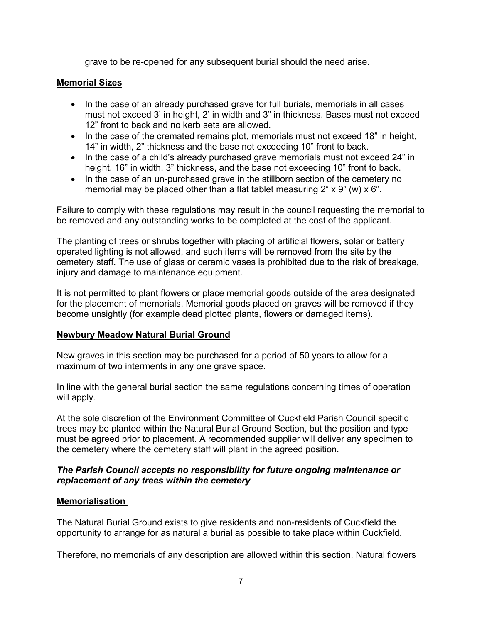grave to be re-opened for any subsequent burial should the need arise.

#### **Memorial Sizes**

- In the case of an already purchased grave for full burials, memorials in all cases must not exceed 3' in height, 2' in width and 3" in thickness. Bases must not exceed 12" front to back and no kerb sets are allowed.
- In the case of the cremated remains plot, memorials must not exceed 18" in height, 14" in width, 2" thickness and the base not exceeding 10" front to back.
- In the case of a child's already purchased grave memorials must not exceed 24" in height, 16" in width, 3" thickness, and the base not exceeding 10" front to back.
- In the case of an un-purchased grave in the stillborn section of the cemetery no memorial may be placed other than a flat tablet measuring  $2$ " x  $9$ " (w) x  $6$ ".

Failure to comply with these regulations may result in the council requesting the memorial to be removed and any outstanding works to be completed at the cost of the applicant.

The planting of trees or shrubs together with placing of artificial flowers, solar or battery operated lighting is not allowed, and such items will be removed from the site by the cemetery staff. The use of glass or ceramic vases is prohibited due to the risk of breakage, injury and damage to maintenance equipment.

It is not permitted to plant flowers or place memorial goods outside of the area designated for the placement of memorials. Memorial goods placed on graves will be removed if they become unsightly (for example dead plotted plants, flowers or damaged items).

#### **Newbury Meadow Natural Burial Ground**

New graves in this section may be purchased for a period of 50 years to allow for a maximum of two interments in any one grave space.

In line with the general burial section the same regulations concerning times of operation will apply.

At the sole discretion of the Environment Committee of Cuckfield Parish Council specific trees may be planted within the Natural Burial Ground Section, but the position and type must be agreed prior to placement. A recommended supplier will deliver any specimen to the cemetery where the cemetery staff will plant in the agreed position.

## *The Parish Council accepts no responsibility for future ongoing maintenance or replacement of any trees within the cemetery*

#### **Memorialisation**

The Natural Burial Ground exists to give residents and non-residents of Cuckfield the opportunity to arrange for as natural a burial as possible to take place within Cuckfield.

Therefore, no memorials of any description are allowed within this section. Natural flowers